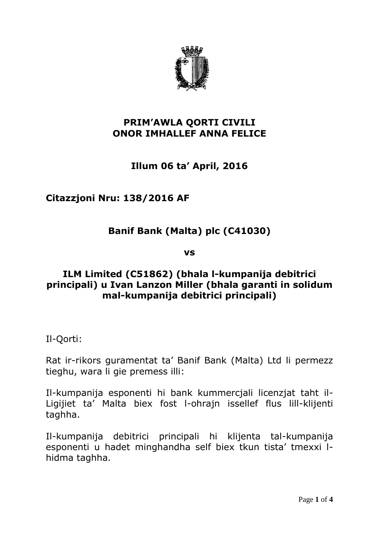

### **PRIM'AWLA QORTI CIVILI ONOR IMHALLEF ANNA FELICE**

# **Illum 06 ta' April, 2016**

## **Citazzjoni Nru: 138/2016 AF**

# **Banif Bank (Malta) plc (C41030)**

**vs**

### **ILM Limited (C51862) (bhala l-kumpanija debitrici principali) u Ivan Lanzon Miller (bhala garanti in solidum mal-kumpanija debitrici principali)**

Il-Qorti:

Rat ir-rikors guramentat ta' Banif Bank (Malta) Ltd li permezz tieghu, wara li gie premess illi:

Il-kumpanija esponenti hi bank kummercjali licenzjat taht il-Ligijiet ta' Malta biex fost l-ohrajn issellef flus lill-klijenti taghha.

Il-kumpanija debitrici principali hi klijenta tal-kumpanija esponenti u hadet minghandha self biex tkun tista' tmexxi lhidma taghha.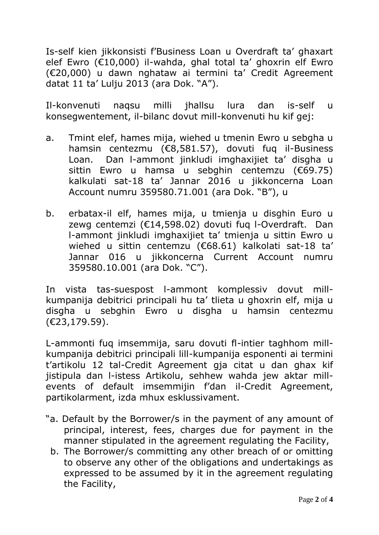Is-self kien jikkonsisti f'Business Loan u Overdraft ta' ghaxart elef Ewro (€10,000) il-wahda, ghal total ta' ghoxrin elf Ewro (€20,000) u dawn nghataw ai termini ta' Credit Agreement datat 11 ta' Lulju 2013 (ara Dok. "A").

Il-konvenuti naqsu milli jhallsu lura dan is-self u konsegwentement, il-bilanc dovut mill-konvenuti hu kif gej:

- a. Tmint elef, hames mija, wiehed u tmenin Ewro u sebgha u hamsin centezmu (€8,581.57), dovuti fuq il-Business Loan. Dan l-ammont jinkludi imghaxijiet ta' disgha u sittin Ewro u hamsa u sebghin centemzu (€69.75) kalkulati sat-18 ta' Jannar 2016 u jikkoncerna Loan Account numru 359580.71.001 (ara Dok. "B"), u
- b. erbatax-il elf, hames mija, u tmienja u disghin Euro u zewg centemzi (€14,598.02) dovuti fuq l-Overdraft. Dan l-ammont jinkludi imghaxijiet ta' tmienja u sittin Ewro u wiehed u sittin centemzu (€68.61) kalkolati sat-18 ta' Jannar 016 u jikkoncerna Current Account numru 359580.10.001 (ara Dok. "C").

In vista tas-suespost l-ammont komplessiv dovut millkumpanija debitrici principali hu ta' tlieta u ghoxrin elf, mija u disgha u sebghin Ewro u disgha u hamsin centezmu (€23,179.59).

L-ammonti fuq imsemmija, saru dovuti fl-intier taghhom millkumpanija debitrici principali lill-kumpanija esponenti ai termini t'artikolu 12 tal-Credit Agreement gja citat u dan ghax kif jistipula dan l-istess Artikolu, sehhew wahda jew aktar millevents of default imsemmijin f'dan il-Credit Agreement, partikolarment, izda mhux esklussivament.

- "a. Default by the Borrower/s in the payment of any amount of principal, interest, fees, charges due for payment in the manner stipulated in the agreement regulating the Facility,
	- b. The Borrower/s committing any other breach of or omitting to observe any other of the obligations and undertakings as expressed to be assumed by it in the agreement regulating the Facility,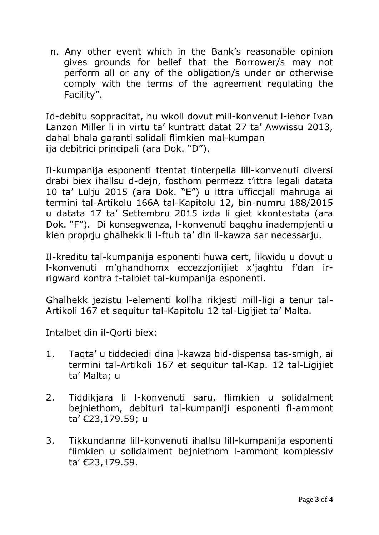n. Any other event which in the Bank's reasonable opinion gives grounds for belief that the Borrower/s may not perform all or any of the obligation/s under or otherwise comply with the terms of the agreement regulating the Facility".

Id-debitu soppracitat, hu wkoll dovut mill-konvenut l-iehor Ivan Lanzon Miller li in virtu ta' kuntratt datat 27 ta' Awwissu 2013, dahal bhala garanti solidali flimkien mal-kumpan ija debitrici principali (ara Dok. "D").

Il-kumpanija esponenti ttentat tinterpella lill-konvenuti diversi drabi biex ihallsu d-dejn, fosthom permezz t'ittra legali datata 10 ta' Lulju 2015 (ara Dok. "E") u ittra ufficcjali mahruga ai termini tal-Artikolu 166A tal-Kapitolu 12, bin-numru 188/2015 u datata 17 ta' Settembru 2015 izda li giet kkontestata (ara Dok. "F"). Di konsegwenza, l-konvenuti baqghu inadempjenti u kien proprju ghalhekk li l-ftuh ta' din il-kawza sar necessarju.

Il-kreditu tal-kumpanija esponenti huwa cert, likwidu u dovut u l-konvenuti m'ghandhomx eccezzjonijiet x'jaghtu f'dan irrigward kontra t-talbiet tal-kumpanija esponenti.

Ghalhekk jezistu l-elementi kollha rikjesti mill-ligi a tenur tal-Artikoli 167 et sequitur tal-Kapitolu 12 tal-Ligijiet ta' Malta.

Intalbet din il-Qorti biex:

- 1. Taqta' u tiddeciedi dina l-kawza bid-dispensa tas-smigh, ai termini tal-Artikoli 167 et sequitur tal-Kap. 12 tal-Ligijiet ta' Malta; u
- 2. Tiddikjara li l-konvenuti saru, flimkien u solidalment bejniethom, debituri tal-kumpaniji esponenti fl-ammont ta' €23,179.59; u
- 3. Tikkundanna lill-konvenuti ihallsu lill-kumpanija esponenti flimkien u solidalment bejniethom l-ammont komplessiv ta' €23,179.59.